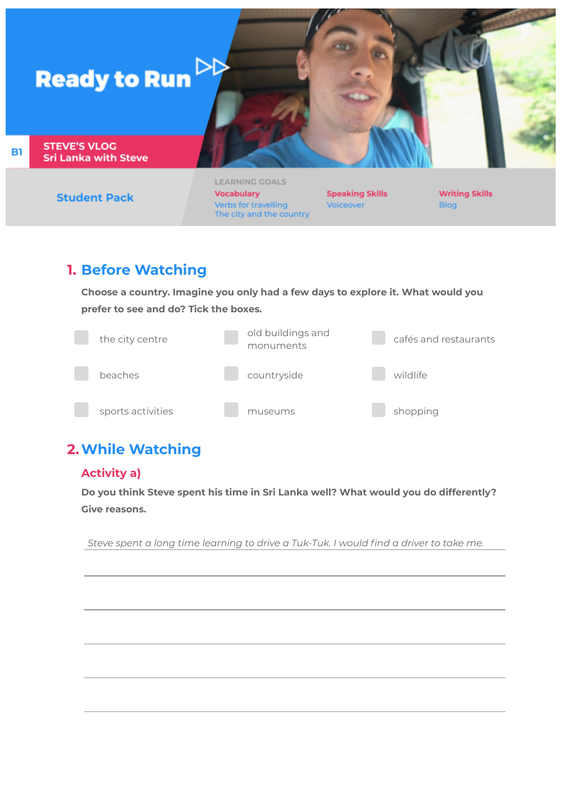

**Student Pack** 

**LEARNING GOALS Vocabulary** Verbs for travelling The city and the country

**Speaking Skills** Voiceover

**Writing Skills** Blog

# **1. Before Watching**

**Choose a country. Imagine you only had a few days to explore it. What would you prefer to see and do? Tick the boxes.**



# **2.While Watching**

# **Activity a)**

**Do you think Steve spent his time in Sri Lanka well? What would you do differently? Give reasons.**

*Steve spent a long time learning to drive a Tuk-Tuk. I would find a driver to take me.*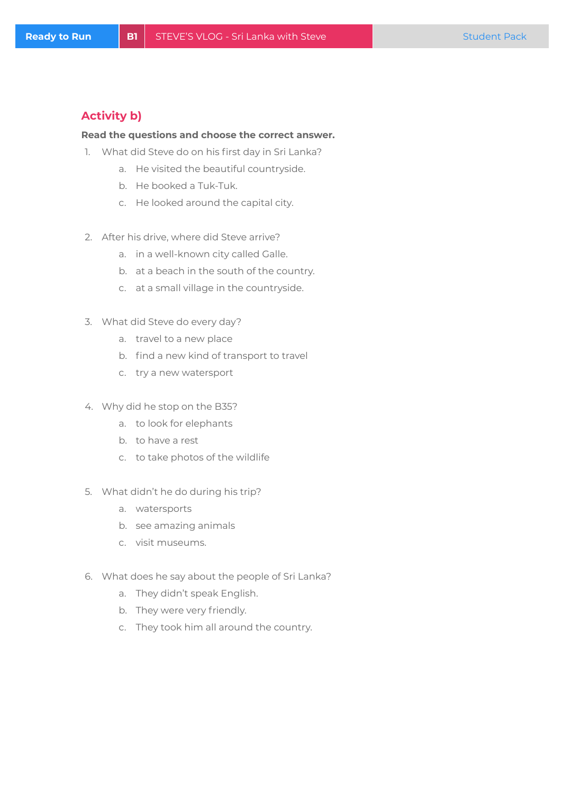## **Activity b)**

### **Read the questions and choose the correct answer.**

- 1. What did Steve do on his first day in Sri Lanka?
	- a. He visited the beautiful countryside.
	- b. He booked a Tuk-Tuk.
	- c. He looked around the capital city.
- 2. After his drive, where did Steve arrive?
	- a. in a well-known city called Galle.
	- b. at a beach in the south of the country.
	- c. at a small village in the countryside.
- 3. What did Steve do every day?
	- a. travel to a new place
	- b. find a new kind of transport to travel
	- c. try a new watersport
- 4. Why did he stop on the B35?
	- a. to look for elephants
	- b. to have a rest
	- c. to take photos of the wildlife
- 5. What didn't he do during his trip?
	- a. watersports
	- b. see amazing animals
	- c. visit museums.
- 6. What does he say about the people of Sri Lanka?
	- a. They didn't speak English.
	- b. They were very friendly.
	- c. They took him all around the country.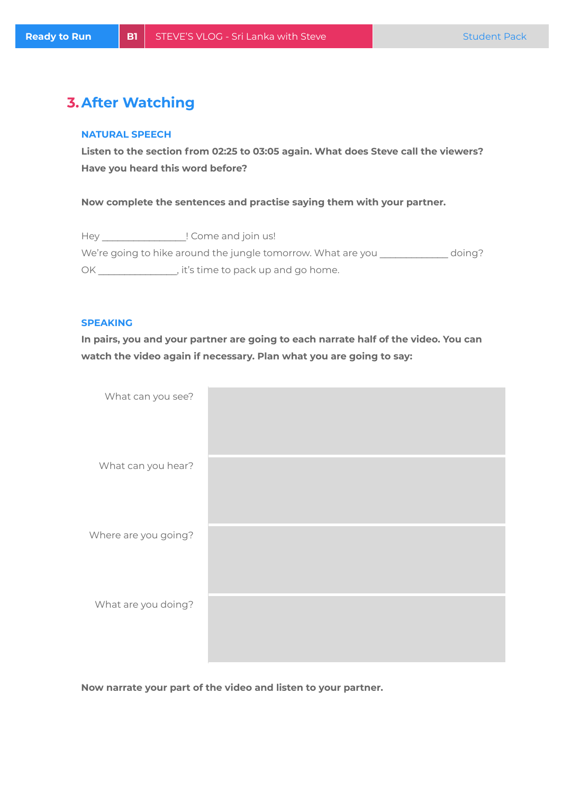# **3.After Watching**

#### **NATURAL SPEECH**

**Listen to the section from 02:25 to 03:05 again. What does Steve call the viewers? Have you heard this word before?**

**Now complete the sentences and practise saying them with your partner.**

Hey \_\_\_\_\_\_\_\_\_\_\_\_\_\_\_\_\_\_! Come and join us! We're going to hike around the jungle tomorrow. What are you \_\_\_\_\_\_\_\_\_\_\_\_\_ doing? OK \_\_\_\_\_\_\_\_\_\_\_\_\_\_\_, it's time to pack up and go home.

#### **SPEAKING**

**In pairs, you and your partner are going to each narrate half of the video. You can watch the video again if necessary. Plan what you are going to say:**

| What can you see?    |  |
|----------------------|--|
| What can you hear?   |  |
| Where are you going? |  |
| What are you doing?  |  |

**Now narrate your part of the video and listen to your partner.**